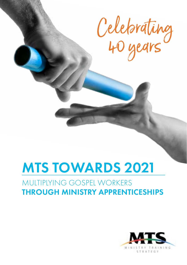

# MTS TOWARDS 2021

### MULTIPLYING GOSPEL WORKERS THROUGH MINISTRY APPRENTICESHIPS

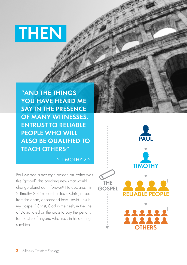# **THEN**

"AND THE THINGS YOU HAVE HEARD ME SAY IN THE PRESENCE OF MANY WITNESSES, ENTRUST TO RELIABLE PEOPLE WHO WILL ALSO BE QUALIFIED TO TEACH OTHERS"

2 TIMOTHY 2:2

Paul wanted a message passed on. What was this "gospel", this breaking news that would change planet earth forever? He declares it in 2 Timothy 2:8 "Remember Jesus Christ, raised from the dead, descended from David. This is my gospel." Christ, God in the flesh, in the line of David, died on the cross to pay the penalty for the sins of anyone who trusts in his atoning sacrifice.

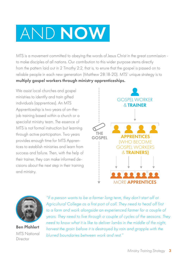# AND NOW

MTS is a movement committed to obeying the words of Jesus Christ in the great commission to make disciples of all nations. Our contribution to this wider purpose stems directly from the pattern laid out in 2 Timothy 2:2, that is, to enure that the gospel is passed on to reliable people in each new generation (Matthew 28:18-20). MTS' unique strategy is to multiply gospel workers through ministry apprenticeships.

We assist local churches and gospel ministries to identify and train gifted individuals (apprentices). An MTS Apprenticeship is two years of on-thejob training based within a church or a specialist ministry team. The essence of MTS is not formal instruction but learning through active participation. Two years provides enough time for MTS Apprentices to establish ministries and learn from success and failure. Then, with the help of their trainer, they can make informed decisions about the next step in their training and ministry.





Ben Pfahlert MTS National Director

*"If a person wants to be a farmer long term, they don't start off at Agricultural College as a first port of call. They need to head off first to a farm and work alongside an experienced farmer for a couple of years. They need to live through a couple of cycles of the seasons. They need to know what it is like to deliver lambs in the middle of the night, harvest the grain before it is destroyed by rain and grapple with the blurred boundaries between work and rest."*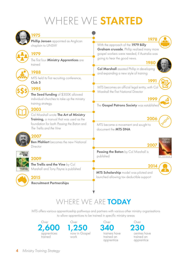# VHERE WE STARTED



### WHERE WE ARE TODAY

MTS offers various apprenticeship pathways and partners with various other ministry organisations to allow apprentices to be trained in specific ministry areas





 $O<sub>V</sub>$ er 340 trainers have trained an apprentice

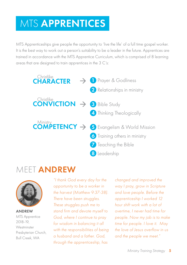## MTS APPRENTICES

MTS Apprenticeships give people the opportunity to 'live the life' of a full time gospel worker. It is the best way to work out a person's suitability to be a leader in the future. Apprentices are trained in accordance with the MTS Apprentice Curriculum, which is comprised of 8 learning areas that are designed to train apprentices in the 3 C's:



### MEET **ANDREW**



ANDREW MTS Apprentice 2018-19, **Westminster** Presbyterian Church, Bull Creek, WA

*"I thank God every day for the opportunity to be a worker in the harvest (Matthew 9:37-38). There have been struggles. These struggles push me to stand firm and devote myself to God, where I continue to pray for wisdom in balancing it all with the responsibilities of being a husband and a father. God, through the apprenticeship, has* 

*changed and improved the way I pray, grow in Scripture and love people. Before the apprenticeship I worked 12 hour shift work with a lot of overtime, I never had time for people. Now my job is to make time for people. I love it. May the love of Jesus overflow in us and the people we meet."*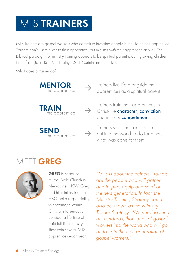## **MTS TRAINERS**

MTS Trainers are gospel workers who commit to investing deeply in the life of their apprentice. Trainers don't just minister *to* their apprentice, but minister *with* their apprentice as well. The Biblical paradigm for ministry training appears to be spiritual parenthood... growing children in the faith (John 13:33;1 Timothy 1:2; 1 Corinthians 4:14-17).

What does a trainer do?



Trainers live life alongside their apprentices as a spiritual parent

Trainers train their apprentices in Christ-like character, conviction and ministry **competence** 

Trainers send their apprentices out into the world to do for others what was done for them

### MEET GREG



GREG is Pastor of Hunter Bible Church in Newcastle, NSW. Greg and his ministry team at HBC feel a responsibility to encourage young Christians to seriously consider a life-time of paid full-time ministry. They train several MTS apprentices each year.

*"MTS is about the trainers. Trainers are the people who will gather and inspire, equip and send out the next generation. In fact, the Ministry Training Strategy could also be known as the Ministry Trainer Strategy. We need to send out hundreds, thousands of gospel workers into the world who will go on to train the next generation of gospel workers."*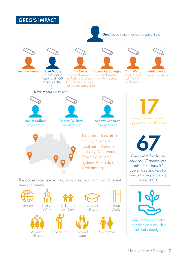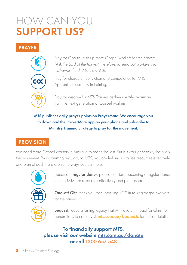## HOW CAN YOU SUPPORT US?

#### PRAYER



Pray for God to raise up more Gospel workers for the harvest *"Ask the Lord of the harvest, therefore, to send out workers into his harvest field" Matthew 9:38*

Pray for character, conviction and competency for MTS Apprentices currently in training.

Pray for wisdom for MTS Trainers as they identify, recruit and train the next generation of Gospel workers.

MTS publishes daily prayer points on PrayerMate. We encourage you to download the PrayerMate app on your phone and subscribe to Ministry Training Strategy to pray for the movement.

### PROVISION

We need more Gospel workers in Australia to reach the lost. But it is your generosity that fuels the movement. By committing regularly to MTS, you are helping us to use resources effectively and plan ahead. Here are some ways you can help:



Become a regular donor: please consider becoming a regular donor to help MTS use resources effectively and plan ahead.



One-off Gift: thank you for supporting MTS in raising gospel workers for the harvest



**Bequest:** leave a lasting legacy that will have an impact for Christ for generations to come. Visit **mts.com.au/bequests** for further details.

To financially support MTS, please visit our website [mts.com.au/donate](http://www.mts.com.au/donations) or call 1300 657 548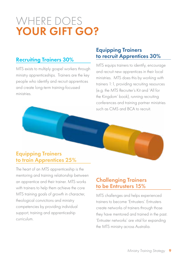## WHERE DOES YOUR GIFT GO?

### Recruiting Trainers 30%

MTS exists to multiply gospel workers through ministry apprenticeships. Trainers are the key people who identify and recruit apprentices and create long-term training-focussed ministries.

### Equipping Trainers to recruit Apprentices 30%

MTS equips trainers to identify, encourage and recruit new apprentices in their local ministries. MTS does this by working with trainers 1:1, providing recruiting resources (e.g. the MTS Recruiter's Kit and 'All for the Kingdom' book), running recruiting conferences and training partner ministries such as CMS and BCA to recruit.

#### Equipping Trainers to train Apprentices 25%

The heart of an MTS apprenticeship is the mentoring and training relationship between an apprentice and their trainer. MTS works with trainers to help them achieve the core MTS training goals of growth in character, theological convictions and ministry competencies by providing individual support, training and apprenticeship curriculum.

#### Challenging Trainers to be Entrusters 15%

MTS challenges and helps experienced trainers to become 'Entrusters'. Entrusters create networks of trainers through those they have mentored and trained in the past. 'Entruster networks' are vital for expanding the MTS ministry across Australia.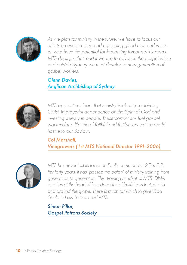

*As we plan for ministry in the future, we have to focus our efforts on encouraging and equipping gifted men and women who have the potential for becoming tomorrow's leaders. MTS does just that, and if we are to advance the gospel within and outside Sydney we must develop a new generation of gospel workers.*

*Glenn Davies, Anglican Archbishop of Sydney* 



*MTS apprentices learn that ministry is about proclaiming Christ, in prayerful dependence on the Spirit of God and investing deeply in people. These convictions fuel gospel workers for a lifetime of faithful and fruitful service in a world hostile to our Saviour.*

*Col Marshall, Vinegrowers (1st MTS National Director 1991-2006)*



*MTS has never lost its focus on Paul's command in 2 Tim 2:2. For forty years, it has 'passed the baton' of ministry training from generation to generation. This 'training mindset' is MTS' DNA and lies at the heart of four decades of fruitfulness in Australia and around the globe. There is much for which to give God thanks in how he has used MTS.*

*Simon Pillar, Gospel Patrons Society*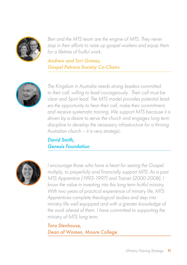

*Ben and the MTS team are the engine of MTS. They never stop in their efforts to raise up gospel workers and equip them for a lifetime of fruitful work.*

#### *Andrew and Tori Grimes, Gospel Patrons Society Co-Chairs*



*The Kingdom in Australia needs strong leaders committed to their call, willing to lead courageously. Their call must be clear and Spirit lead. The MTS model provides potential leaders the opportunity to hear their call, make their commitment, and receive systematic training. We support MTS because it is driven by a desire to serve the church and engages long term discipline to develop the necessary infrastructure for a thriving Australian church – it is very strategic.*

#### *David Smith, Genesis Foundation*



*I encourage those who have a heart for seeing the Gospel multiply, to prayerfully and financially support MTS. As a past MTS Apprentice (1993-1997) and Trainer (2000-2008), I know the value in investing into this long term fruitful ministry. With two years of practical experience of ministry life, MTS Apprentices complete theological studies and step into ministry life well equipped and with a greater knowledge of the work ahead of them. I have committed to supporting the ministry of MTS long term.*

*Tara Stenhouse, Dean of Women, Moore College*